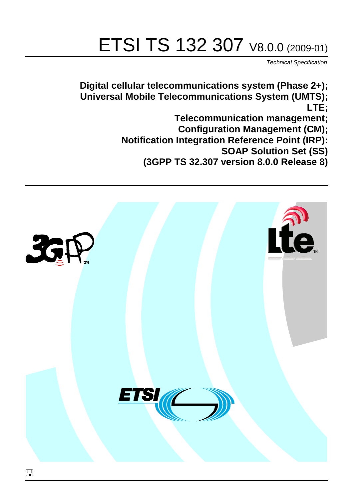# ETSI TS 132 307 V8.0.0 (2009-01)

*Technical Specification*

**Digital cellular telecommunications system (Phase 2+); Universal Mobile Telecommunications System (UMTS); LTE; Telecommunication management; Configuration Management (CM); Notification Integration Reference Point (IRP): SOAP Solution Set (SS) (3GPP TS 32.307 version 8.0.0 Release 8)**

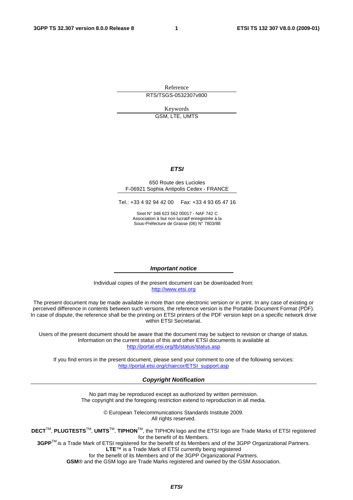Reference RTS/TSGS-0532307v800

Keywords

GSM, LTE, UMTS

#### *ETSI*

#### 650 Route des Lucioles F-06921 Sophia Antipolis Cedex - FRANCE

Tel.: +33 4 92 94 42 00 Fax: +33 4 93 65 47 16

Siret N° 348 623 562 00017 - NAF 742 C Association à but non lucratif enregistrée à la Sous-Préfecture de Grasse (06) N° 7803/88

#### *Important notice*

Individual copies of the present document can be downloaded from: [http://www.etsi.org](http://www.etsi.org/)

The present document may be made available in more than one electronic version or in print. In any case of existing or perceived difference in contents between such versions, the reference version is the Portable Document Format (PDF). In case of dispute, the reference shall be the printing on ETSI printers of the PDF version kept on a specific network drive within ETSI Secretariat.

Users of the present document should be aware that the document may be subject to revision or change of status. Information on the current status of this and other ETSI documents is available at <http://portal.etsi.org/tb/status/status.asp>

If you find errors in the present document, please send your comment to one of the following services: [http://portal.etsi.org/chaircor/ETSI\\_support.asp](http://portal.etsi.org/chaircor/ETSI_support.asp)

#### *Copyright Notification*

No part may be reproduced except as authorized by written permission. The copyright and the foregoing restriction extend to reproduction in all media.

> © European Telecommunications Standards Institute 2009. All rights reserved.

**DECT**TM, **PLUGTESTS**TM, **UMTS**TM, **TIPHON**TM, the TIPHON logo and the ETSI logo are Trade Marks of ETSI registered for the benefit of its Members.

**3GPP**TM is a Trade Mark of ETSI registered for the benefit of its Members and of the 3GPP Organizational Partners. **LTE**™ is a Trade Mark of ETSI currently being registered

for the benefit of its Members and of the 3GPP Organizational Partners.

**GSM**® and the GSM logo are Trade Marks registered and owned by the GSM Association.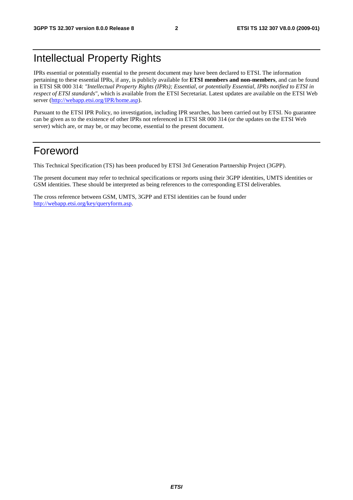## Intellectual Property Rights

IPRs essential or potentially essential to the present document may have been declared to ETSI. The information pertaining to these essential IPRs, if any, is publicly available for **ETSI members and non-members**, and can be found in ETSI SR 000 314: *"Intellectual Property Rights (IPRs); Essential, or potentially Essential, IPRs notified to ETSI in respect of ETSI standards"*, which is available from the ETSI Secretariat. Latest updates are available on the ETSI Web server [\(http://webapp.etsi.org/IPR/home.asp\)](http://webapp.etsi.org/IPR/home.asp).

Pursuant to the ETSI IPR Policy, no investigation, including IPR searches, has been carried out by ETSI. No guarantee can be given as to the existence of other IPRs not referenced in ETSI SR 000 314 (or the updates on the ETSI Web server) which are, or may be, or may become, essential to the present document.

## Foreword

This Technical Specification (TS) has been produced by ETSI 3rd Generation Partnership Project (3GPP).

The present document may refer to technical specifications or reports using their 3GPP identities, UMTS identities or GSM identities. These should be interpreted as being references to the corresponding ETSI deliverables.

The cross reference between GSM, UMTS, 3GPP and ETSI identities can be found under [http://webapp.etsi.org/key/queryform.asp.](http://webapp.etsi.org/key/queryform.asp)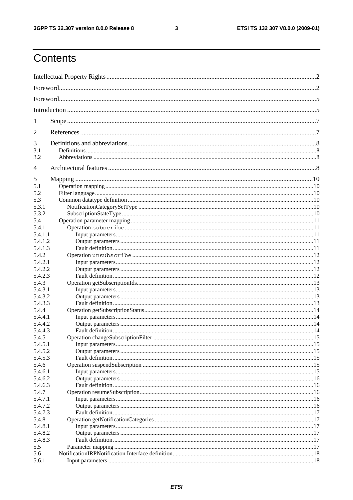#### $\mathbf{3}$

## Contents

| 1       |  |
|---------|--|
| 2       |  |
| 3       |  |
| 3.1     |  |
| 3.2     |  |
| 4       |  |
| 5       |  |
| 5.1     |  |
| 5.2     |  |
| 5.3     |  |
| 5.3.1   |  |
| 5.3.2   |  |
| 5.4     |  |
| 5.4.1   |  |
| 5.4.1.1 |  |
| 5.4.1.2 |  |
| 5.4.1.3 |  |
| 5.4.2   |  |
| 5.4.2.1 |  |
| 5.4.2.2 |  |
| 5.4.2.3 |  |
| 5.4.3   |  |
| 5.4.3.1 |  |
| 5.4.3.2 |  |
| 5.4.3.3 |  |
| 5.4.4   |  |
| 5.4.4.1 |  |
| 5.4.4.2 |  |
| 5.4.4.3 |  |
| 5.4.5   |  |
| 5.4.5.1 |  |
| 5.4.5.2 |  |
| 5.4.5.3 |  |
| 5.4.6   |  |
| 5.4.6.1 |  |
| 5.4.6.2 |  |
| 5.4.6.3 |  |
| 5.4.7   |  |
| 5.4.7.1 |  |
| 5.4.7.2 |  |
| 5.4.7.3 |  |
| 5.4.8   |  |
| 5.4.8.1 |  |
| 5.4.8.2 |  |
| 5.4.8.3 |  |
| 5.5     |  |
| 5.6     |  |
|         |  |
| 5.6.1   |  |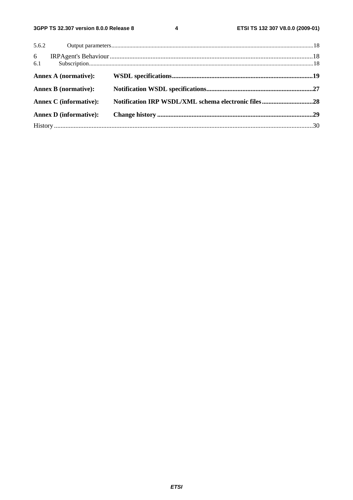$\overline{\mathbf{4}}$ 

|          | 5.6.2                         |  |
|----------|-------------------------------|--|
| 6<br>6.1 |                               |  |
|          | Annex A (normative):          |  |
|          | <b>Annex B</b> (normative):   |  |
|          | <b>Annex C</b> (informative): |  |
|          | <b>Annex D</b> (informative): |  |
|          |                               |  |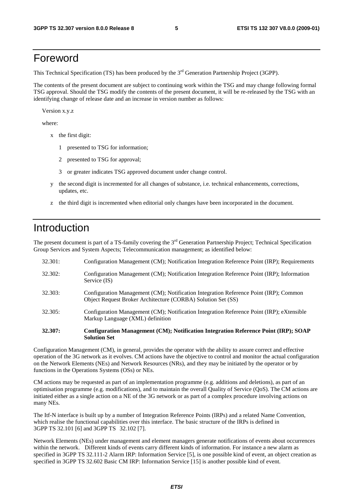## Foreword

This Technical Specification (TS) has been produced by the 3<sup>rd</sup> Generation Partnership Project (3GPP).

The contents of the present document are subject to continuing work within the TSG and may change following formal TSG approval. Should the TSG modify the contents of the present document, it will be re-released by the TSG with an identifying change of release date and an increase in version number as follows:

Version x.y.z

where:

- x the first digit:
	- 1 presented to TSG for information;
	- 2 presented to TSG for approval;
	- 3 or greater indicates TSG approved document under change control.
- y the second digit is incremented for all changes of substance, i.e. technical enhancements, corrections, updates, etc.
- z the third digit is incremented when editorial only changes have been incorporated in the document.

## Introduction

The present document is part of a TS-family covering the 3<sup>rd</sup> Generation Partnership Project; Technical Specification Group Services and System Aspects; Telecommunication management; as identified below:

| 32.307: | Configuration Management (CM); Notification Integration Reference Point (IRP); SOAP<br><b>Solution Set</b>                                            |
|---------|-------------------------------------------------------------------------------------------------------------------------------------------------------|
| 32.305: | Configuration Management (CM); Notification Integration Reference Point (IRP); eXtensible<br>Markup Language (XML) definition                         |
| 32.303: | Configuration Management (CM); Notification Integration Reference Point (IRP); Common<br>Object Request Broker Architecture (CORBA) Solution Set (SS) |
| 32.302: | Configuration Management (CM); Notification Integration Reference Point (IRP); Information<br>Service (IS)                                            |
| 32.301: | Configuration Management (CM); Notification Integration Reference Point (IRP); Requirements                                                           |

Configuration Management (CM), in general, provides the operator with the ability to assure correct and effective operation of the 3G network as it evolves. CM actions have the objective to control and monitor the actual configuration on the Network Elements (NEs) and Network Resources (NRs), and they may be initiated by the operator or by functions in the Operations Systems (OSs) or NEs.

CM actions may be requested as part of an implementation programme (e.g. additions and deletions), as part of an optimisation programme (e.g. modifications), and to maintain the overall Quality of Service (QoS). The CM actions are initiated either as a single action on a NE of the 3G network or as part of a complex procedure involving actions on many NEs.

The Itf-N interface is built up by a number of Integration Reference Points (IRPs) and a related Name Convention, which realise the functional capabilities over this interface. The basic structure of the IRPs is defined in 3GPP TS 32.101 [6] and 3GPP TS 32.102 [7].

Network Elements (NEs) under management and element managers generate notifications of events about occurrences within the network. Different kinds of events carry different kinds of information. For instance a new alarm as specified in 3GPP TS 32.111-2 Alarm IRP: Information Service [5], is one possible kind of event, an object creation as specified in 3GPP TS 32.602 Basic CM IRP: Information Service [15] is another possible kind of event.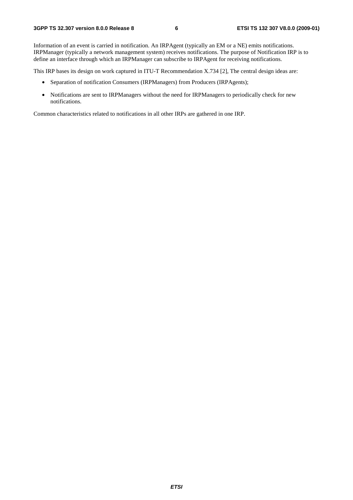Information of an event is carried in notification. An IRPAgent (typically an EM or a NE) emits notifications. IRPManager (typically a network management system) receives notifications. The purpose of Notification IRP is to define an interface through which an IRPManager can subscribe to IRPAgent for receiving notifications.

This IRP bases its design on work captured in ITU-T Recommendation X.734 [2], The central design ideas are:

- Separation of notification Consumers (IRPManagers) from Producers (IRPAgents);
- Notifications are sent to IRPManagers without the need for IRPManagers to periodically check for new notifications.

Common characteristics related to notifications in all other IRPs are gathered in one IRP.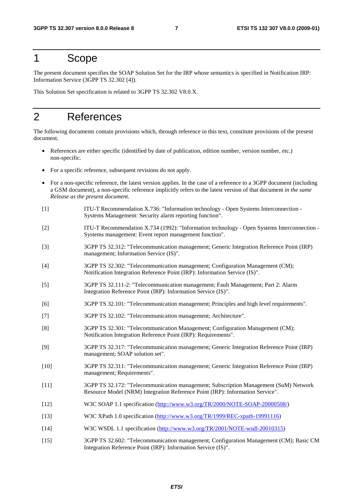## 1 Scope

The present document specifies the SOAP Solution Set for the IRP whose semantics is specified in Notification IRP: Information Service (3GPP TS 32.302 [4]).

This Solution Set specification is related to 3GPP TS 32.302 V8.0.X.

## 2 References

The following documents contain provisions which, through reference in this text, constitute provisions of the present document.

- References are either specific (identified by date of publication, edition number, version number, etc.) non-specific.
- For a specific reference, subsequent revisions do not apply.
- For a non-specific reference, the latest version applies. In the case of a reference to a 3GPP document (including a GSM document), a non-specific reference implicitly refers to the latest version of that document *in the same Release as the present document*.
- [1] ITU-T Recommendation X.736: "Information technology Open Systems Interconnection Systems Management: Security alarm reporting function".
- [2] ITU-T Recommendation X.734 (1992): "Information technology Open Systems Interconnection Systems management: Event report management function".
- [3] 3GPP TS 32.312: "Telecommunication management; Generic Integration Reference Point (IRP) management; Information Service (IS)".
- [4] 3GPP TS 32.302: "Telecommunication management; Configuration Management (CM); Notification Integration Reference Point (IRP): Information Service (IS)".
- [5] 3GPP TS 32.111-2: "Telecommunication management; Fault Management; Part 2: Alarm Integration Reference Point (IRP): Information Service (IS)".
- [6] 3GPP TS 32.101: "Telecommunication management; Principles and high level requirements".
- [7] 3GPP TS 32.102: "Telecommunication management; Architecture".
- [8] 3GPP TS 32.301: "Telecommunication Management; Configuration Management (CM); Notification Integration Reference Point (IRP): Requirements".
- [9] 3GPP TS 32.317: "Telecommunication management; Generic Integration Reference Point (IRP) management; SOAP solution set".
- [10] 3GPP TS 32.311: "Telecommunication management; Generic Integration Reference Point (IRP) management; Requirements".
- [11] 3GPP TS 32.172: "Telecommunication management; Subscription Management (SuM) Network Resource Model (NRM) Integration Reference Point (IRP): Information Service".
- [12] W3C SOAP 1.1 specification [\(http://www.w3.org/TR/2000/NOTE-SOAP-20000508/](http://www.w3.org/TR/2000/NOTE-SOAP-20000508/))
- [13] W3C XPath 1.0 specification [\(http://www.w3.org/TR/1999/REC-xpath-19991116\)](http://www.w3.org/TR/1999/REC-xpath-19991116)
- [14] W3C WSDL 1.1 specification [\(http://www.w3.org/TR/2001/NOTE-wsdl-20010315](http://www.w3.org/TR/wsdl))
- [15] 3GPP TS 32.602: "Telecommunication management; Configuration Management (CM); Basic CM Integration Reference Point (IRP): Information Service (IS)".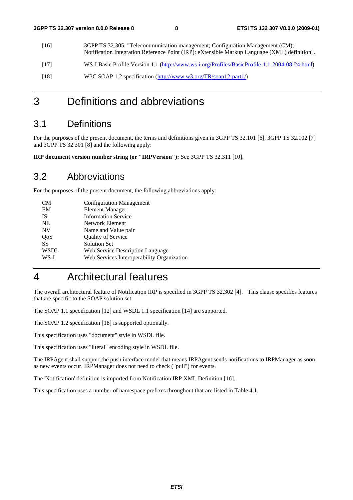[16] 3GPP TS 32.305: "Telecommunication management; Configuration Management (CM); Notification Integration Reference Point (IRP): eXtensible Markup Language (XML) definition". [17] WS-I Basic Profile Version 1.1 [\(http://www.ws-i.org/Profiles/BasicProfile-1.1-2004-08-24.html](http://www.ws-i.org/Profiles/BasicProfile-1.1-2004-08-24.html)) [18] W3C SOAP 1.2 specification [\(http://www.w3.org/TR/soap12-part1/\)](http://www.w3.org/TR/soap12-part1/)

## 3 Definitions and abbreviations

## 3.1 Definitions

For the purposes of the present document, the terms and definitions given in 3GPP TS 32.101 [6], 3GPP TS 32.102 [7] and 3GPP TS 32.301 [8] and the following apply:

**IRP document version number string (or "IRPVersion"):** See 3GPP TS 32.311 [10].

## 3.2 Abbreviations

For the purposes of the present document, the following abbreviations apply:

| CМ          | <b>Configuration Management</b>            |
|-------------|--------------------------------------------|
| EM          | <b>Element Manager</b>                     |
| IS          | <b>Information Service</b>                 |
| <b>NE</b>   | Network Element                            |
| <b>NV</b>   | Name and Value pair                        |
| QoS         | Quality of Service                         |
| SS          | <b>Solution Set</b>                        |
| <b>WSDL</b> | Web Service Description Language           |
| WS-I        | Web Services Interoperability Organization |
|             |                                            |

## 4 Architectural features

The overall architectural feature of Notification IRP is specified in 3GPP TS 32.302 [4]. This clause specifies features that are specific to the SOAP solution set.

The SOAP 1.1 specification [12] and WSDL 1.1 specification [14] are supported.

The SOAP 1.2 specification [18] is supported optionally.

This specification uses "document" style in WSDL file.

This specification uses "literal" encoding style in WSDL file.

The IRPAgent shall support the push interface model that means IRPAgent sends notifications to IRPManager as soon as new events occur. IRPManager does not need to check ("pull") for events.

The 'Notification' definition is imported from Notification IRP XML Definition [16].

This specification uses a number of namespace prefixes throughout that are listed in Table 4.1.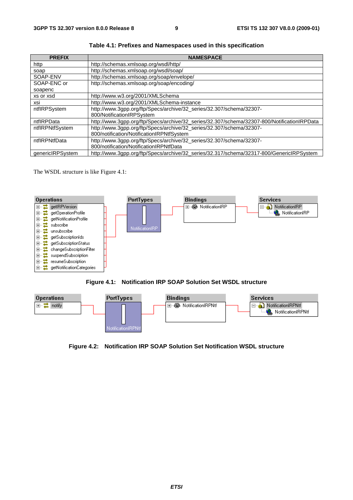| <b>PREFIX</b>    | <b>NAMESPACE</b>                                                                            |
|------------------|---------------------------------------------------------------------------------------------|
| http             | http://schemas.xmlsoap.org/wsdl/http/                                                       |
| soap             | http://schemas.xmlsoap.org/wsdl/soap/                                                       |
| SOAP-ENV         | http://schemas.xmlsoap.org/soap/envelope/                                                   |
| SOAP-ENC or      | http://schemas.xmlsoap.org/soap/encoding/                                                   |
| soapenc          |                                                                                             |
| xs or xsd        | http://www.w3.org/2001/XMLSchema                                                            |
| xsi              | http://www.w3.org/2001/XMLSchema-instance                                                   |
| ntflRPSystem     | http://www.3gpp.org/ftp/Specs/archive/32_series/32.307/schema/32307-                        |
|                  | 800/NotificationIRPSystem                                                                   |
| ntflRPData       | http://www.3gpp.org/ftp/Specs/archive/32_series/32.307/schema/32307-800/NotificationIRPData |
| ntflRPNtfSystem  | http://www.3gpp.org/ftp/Specs/archive/32_series/32.307/schema/32307-                        |
|                  | 800/notification/NotificationIRPNtfSystem                                                   |
| ntflRPNtfData    | http://www.3gpp.org/ftp/Specs/archive/32_series/32.307/schema/32307-                        |
|                  | 800/notification/NotificationIRPNtfData                                                     |
| genericlRPSystem | http://www.3gpp.org/ftp/Specs/archive/32_series/32.317/schema/32317-800/GenericIRPSystem    |

**Table 4.1: Prefixes and Namespaces used in this specification**

The WSDL structure is like Figure 4.1:







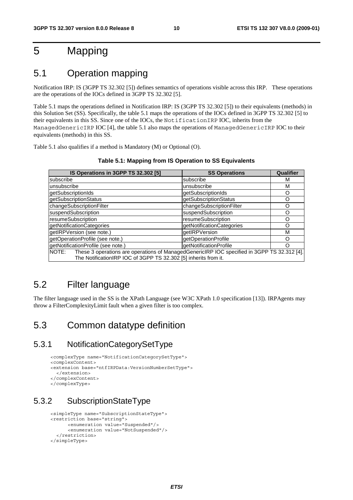## 5 Mapping

## 5.1 Operation mapping

Notification IRP: IS (3GPP TS 32.302 [5]) defines semantics of operations visible across this IRP. These operations are the operations of the IOCs defined in 3GPP TS 32.302 [5].

Table 5.1 maps the operations defined in Notification IRP: IS (3GPP TS 32.302 [5]) to their equivalents (methods) in this Solution Set (SS). Specifically, the table 5.1 maps the operations of the IOCs defined in 3GPP TS 32.302 [5] to their equivalents in this SS. Since one of the IOCs, the NotificationIRP IOC, inherits from the ManagedGenericIRP IOC [4], the table 5.1 also maps the operations of ManagedGenericIRP IOC to their equivalents (methods) in this SS.

Table 5.1 also qualifies if a method is Mandatory (M) or Optional (O).

| IS Operations in 3GPP TS 32.302 [5]                                                                                                                                  | <b>SS Operations</b>      | Qualifier |
|----------------------------------------------------------------------------------------------------------------------------------------------------------------------|---------------------------|-----------|
| subscribe                                                                                                                                                            | subscribe                 | м         |
| unsubscribe                                                                                                                                                          | unsubscribe               | М         |
| getSubscriptionIds                                                                                                                                                   | getSubscriptionIds        | O         |
| getSubscriptionStatus                                                                                                                                                | getSubscriptionStatus     | ∩         |
| changeSubscriptionFilter                                                                                                                                             | changeSubscriptionFilter  | Ω         |
| suspendSubscription                                                                                                                                                  | suspendSubscription       | റ         |
| resumeSubscription                                                                                                                                                   | resumeSubscription        | ∩         |
| getNotificationCategories                                                                                                                                            | getNotificationCategories | റ         |
| getIRPVersion (see note.)                                                                                                                                            | getIRPVersion             | M         |
| getOperationProfile (see note.)                                                                                                                                      | getOperationProfile       |           |
| getNotificationProfile (see note.)                                                                                                                                   | getNotificationProfile    | n         |
| NOTE: These 3 operations are operations of ManagedGenericIRP IOC specified in 3GPP TS 32.312 [4].<br>The NotificationIRP IOC of 3GPP TS 32.302 [5] inherits from it. |                           |           |

**Table 5.1: Mapping from IS Operation to SS Equivalents** 

## 5.2 Filter language

The filter language used in the SS is the XPath Language (see W3C XPath 1.0 specification [13]). IRPAgents may throw a FilterComplexityLimit fault when a given filter is too complex.

## 5.3 Common datatype definition

### 5.3.1 NotificationCategorySetType

```
<complexType name="NotificationCategorySetType"> 
<complexContent> 
<extension base="ntfIRPData:VersionNumberSetType"> 
   </extension> 
</complexContent> 
</complexType>
```
## 5.3.2 SubscriptionStateType

```
<simpleType name="SubscriptionStateType"> 
<restriction base="string"> 
       <enumeration value="Suspended"/> 
       <enumeration value="NotSuspended"/> 
   </restriction> 
</simpleType>
```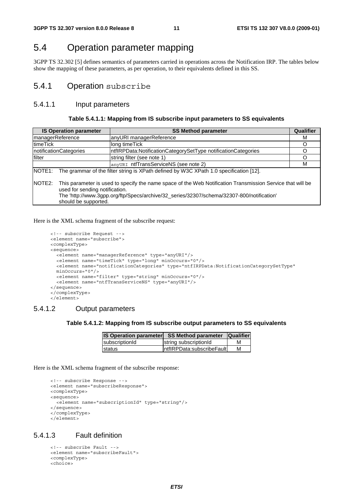## 5.4 Operation parameter mapping

3GPP TS 32.302 [5] defines semantics of parameters carried in operations across the Notification IRP. The tables below show the mapping of these parameters, as per operation, to their equivalents defined in this SS.

### 5.4.1 Operation subscribe

### 5.4.1.1 Input parameters

#### **Table 5.4.1.1: Mapping from IS subscribe input parameters to SS equivalents**

| <b>IS Operation parameter</b>                                                                                                                                                                                                                       |                      | <b>SS Method parameter</b>                                     | <b>Qualifier</b> |
|-----------------------------------------------------------------------------------------------------------------------------------------------------------------------------------------------------------------------------------------------------|----------------------|----------------------------------------------------------------|------------------|
| managerReference                                                                                                                                                                                                                                    |                      | anyURI managerReference                                        | м                |
| timeTick                                                                                                                                                                                                                                            |                      | long timeTick                                                  | O                |
| notificationCategories                                                                                                                                                                                                                              |                      | IntflRPData:NotificationCategorySetType notificationCategories | O                |
| filter                                                                                                                                                                                                                                              |                      | string filter (see note 1)                                     |                  |
|                                                                                                                                                                                                                                                     |                      | anyURI ntfTransServiceNS (see note 2)                          | м                |
| NOTE1:<br>The grammar of the filter string is XPath defined by W3C XPath 1.0 specification [12].                                                                                                                                                    |                      |                                                                |                  |
| NOTE2:<br>This parameter is used to specify the name space of the Web Notification Transmission Service that will be<br>used for sending notification.<br>The 'http://www.3gpp.org/ftp/Specs/archive/32_series/32307/schema/32307-800/notification' |                      |                                                                |                  |
|                                                                                                                                                                                                                                                     | should be supported. |                                                                |                  |

#### Here is the XML schema fragment of the subscribe request:

```
<!-- subscribe Request --> 
<element name="subscribe"> 
<complexType> 
<sequence> 
 <element name="managerReference" type="anyURI"/> 
  <element name="timeTick" type="long" minOccurs="0"/> 
  <element name="notificationCategories" type="ntfIRPData:NotificationCategorySetType" 
  minOccurs="0"/> 
  <element name="filter" type="string" minOccurs="0"/> 
  <element name="ntfTransServiceNS" type="anyURI"/> 
</sequence> 
</complexType> 
</element>
```
### 5.4.1.2 Output parameters

#### **Table 5.4.1.2: Mapping from IS subscribe output parameters to SS equivalents**

| <b>IS Operation parameter</b> | <b>SS Method parameter</b>  | <b>Qualifier</b> |
|-------------------------------|-----------------------------|------------------|
| subscriptionId                | string subscriptionId       | М                |
| <b>Istatus</b>                | IntflRPData:subscribeFaultl | М                |

Here is the XML schema fragment of the subscribe response:

```
<!-- subscribe Response --> 
<element name="subscribeResponse"> 
<complexType> 
<sequence> 
  <element name="subscriptionId" type="string"/> 
</sequence> 
</complexType> 
</element>
```
#### 5.4.1.3 Fault definition

```
<!-- subscribe Fault --> 
<element name="subscribeFault"> 
<complexType> 
<choice>
```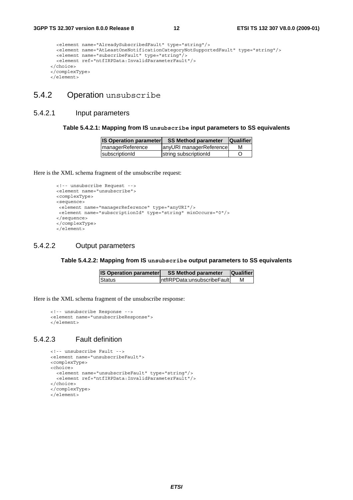```
<element name="AlreadySubscribedFault" type="string"/> 
  <element name="AtLeastOneNotificationCategoryNotSupportedFault" type="string"/> 
  <element name="subscribeFault" type="string"/> 
  <element ref="ntfIRPData:InvalidParameterFault"/> 
</choice> 
</complexType> 
</element>
```
### 5.4.2 Operation unsubscribe

#### 5.4.2.1 Input parameters

#### **Table 5.4.2.1: Mapping from IS unsubscribe input parameters to SS equivalents**

| <b>IS Operation parameter</b> | <b>SS Method parameter</b> | <b>Qualifier</b> |
|-------------------------------|----------------------------|------------------|
| <b>ImanagerReference</b>      | anyURI managerReference    | M                |
| subscriptionId                | string subscriptionId      |                  |

Here is the XML schema fragment of the unsubscribe request:

```
<!-- unsubscribe Request --> 
<element name="unsubscribe"> 
<complexType> 
<sequence> 
<element name="managerReference" type="anyURI"/> 
<element name="subscriptionId" type="string" minOccurs="0"/> 
</sequence> 
</complexType> 
</element>
```
### 5.4.2.2 Output parameters

#### **Table 5.4.2.2: Mapping from IS unsubscribe output parameters to SS equivalents**

| <b>IS Operation parameter</b> | <b>SS Method parameter</b>    | <b>Qualifier</b> |
|-------------------------------|-------------------------------|------------------|
| <b>Status</b>                 | IntflRPData:unsubscribeFaultL |                  |

Here is the XML schema fragment of the unsubscribe response:

```
<!-- unsubscribe Response --> 
<element name="unsubscribeResponse"> 
</element>
```
#### 5.4.2.3 Fault definition

```
<!-- unsubscribe Fault --> 
<element name="unsubscribeFault"> 
<complexType> 
<choice> 
  <element name="unsubscribeFault" type="string"/> 
  <element ref="ntfIRPData:InvalidParameterFault"/> 
</choice> 
</complexType> 
</element>
```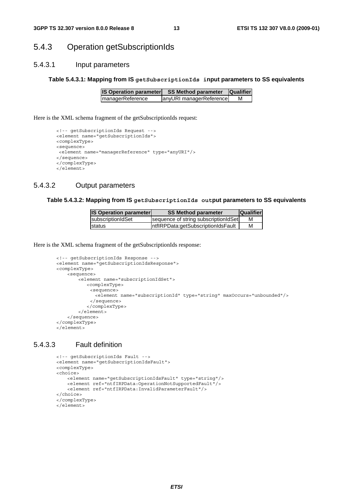### 5.4.3 Operation getSubscriptionIds

### 5.4.3.1 Input parameters

#### **Table 5.4.3.1: Mapping from IS getSubscriptionIds input parameters to SS equivalents**

| <b>IS Operation parameter</b> | <b>SS Method parameter</b> | <b>Qualifier</b> |
|-------------------------------|----------------------------|------------------|
| <b>ImanagerReference</b>      | anyURI managerReference    | м                |

Here is the XML schema fragment of the getSubscriptionIds request:

```
<!-- getSubscriptionIds Request --> 
<element name="getSubscriptionIds"> 
<complexType> 
<sequence> 
<element name="managerReference" type="anyURI"/> 
</sequence> 
</complexType> 
</element>
```
### 5.4.3.2 Output parameters

#### **Table 5.4.3.2: Mapping from IS getSubscriptionIds output parameters to SS equivalents**

| <b>IS Operation parameter</b> | <b>SS Method parameter</b>           | <b>Qualifier</b> |
|-------------------------------|--------------------------------------|------------------|
| IsubscriptionIdSet            | sequence of string subscriptionIdSet |                  |
| Istatus                       | IntflRPData:getSubscriptionIdsFault  | м                |

Here is the XML schema fragment of the getSubscriptionIds response:

```
<!-- getSubscriptionIds Response --> 
<element name="getSubscriptionIdsResponse"> 
<complexType> 
    <sequence> 
        <element name="subscriptionIdSet"> 
           <complexType> 
            <sequence> 
              <element name="subscriptionId" type="string" maxOccurs="unbounded"/> 
            </sequence> 
           </complexType> 
        </element> 
    </sequence> 
</complexType> 
</element>
```
### 5.4.3.3 Fault definition

```
<!-- getSubscriptionIds Fault --> 
<element name="getSubscriptionIdsFault"> 
<complexType> 
<choice> 
   <element name="getSubscriptionIdsFault" type="string"/> 
   <element ref="ntfIRPData:OperationNotSupportedFault"/> 
   <element ref="ntfIRPData:InvalidParameterFault"/> 
</choice> 
</complexType> 
</element>
```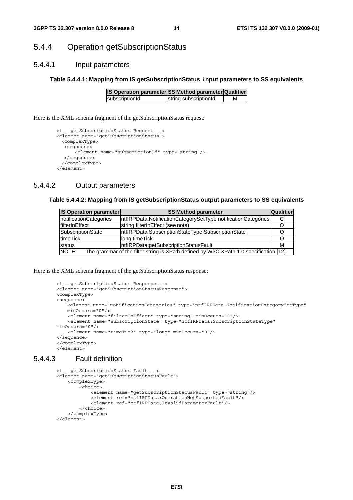### 5.4.4 Operation getSubscriptionStatus

#### 5.4.4.1 Input parameters

#### **Table 5.4.4.1: Mapping from IS getSubscriptionStatus input parameters to SS equivalents**

| IS Operation parameter SS Method parameter Qualifier |                       |   |
|------------------------------------------------------|-----------------------|---|
| subscriptionId                                       | string subscriptionId | м |

Here is the XML schema fragment of the getSubscriptionStatus request:

```
<!-- getSubscriptionStatus Request --> 
<element name="getSubscriptionStatus"> 
 <complexType> 
  <sequence> 
      <element name="subscriptionId" type="string"/> 
  </sequence> 
 </complexType> 
</element>
```
### 5.4.4.2 Output parameters

#### **Table 5.4.4.2: Mapping from IS getSubscriptionStatus output parameters to SS equivalents**

| <b>IS Operation parameter</b>                                                                   | <b>SS Method parameter</b>                                     | Qualifier |  |
|-------------------------------------------------------------------------------------------------|----------------------------------------------------------------|-----------|--|
| notificationCategories                                                                          | IntflRPData:NotificationCategorySetType notificationCategories |           |  |
| filterInEffect                                                                                  | string filterInEffect (see note)                               |           |  |
| SubscriptionState                                                                               | IntflRPData:SubscriptionStateType SubscriptionState            |           |  |
| timeTick                                                                                        | long time Tick                                                 |           |  |
| status                                                                                          | IntflRPData:getSubscriptionStatusFault                         |           |  |
| NOTE:<br>The grammar of the filter string is XPath defined by W3C XPath 1.0 specification [12]. |                                                                |           |  |

Here is the XML schema fragment of the getSubscriptionStatus response:

```
<!-- getSubscriptionStatus Response --> 
<element name="getSubscriptionStatusResponse"> 
<complexType> 
<sequence> 
   .<br>element name="notificationCategories" type="ntfIRPData:NotificationCategorySetType"
   minOc^{ours} = "0"/>
    <element name="filterInEffect" type="string" minOccurs="0"/> 
     <element name="SubscriptionState" type="ntfIRPData:SubscriptionStateType" 
minOccurs="0"/> 
    <element name="timeTick" type="long" minOccurs="0"/> 
</sequence> 
</complexType> 
</element>
```
#### 5.4.4.3 Fault definition

```
<!-- getSubscriptionStatus Fault --> 
 <element name="getSubscriptionStatusFault"> 
     <complexType> 
         <choice> 
             <element name="getSubscriptionStatusFault" type="string"/> 
             <element ref="ntfIRPData:OperationNotSupportedFault"/> 
             <element ref="ntfIRPData:InvalidParameterFault"/> 
         </choice> 
     </complexType> 
 </element>
```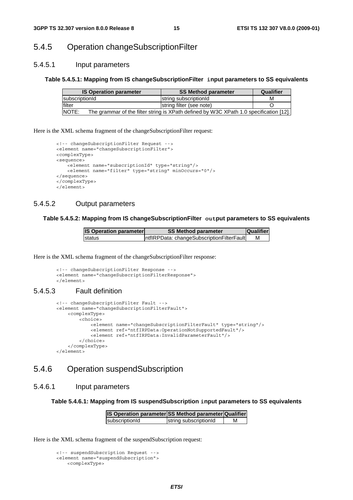## 5.4.5 Operation changeSubscriptionFilter

### 5.4.5.1 Input parameters

#### **Table 5.4.5.1: Mapping from IS changeSubscriptionFilter input parameters to SS equivalents**

| <b>IS Operation parameter</b> | <b>SS Method parameter</b>                                                             | Qualifier |
|-------------------------------|----------------------------------------------------------------------------------------|-----------|
| <b>IsubscriptionId</b>        | string subscriptionId                                                                  | М         |
| lfilter                       | string filter (see note)                                                               |           |
| <b>NOTE:</b>                  | The grammar of the filter string is XPath defined by W3C XPath 1.0 specification [12]. |           |

Here is the XML schema fragment of the changeSubscriptionFilter request:

```
<!-- changeSubscriptionFilter Request --> 
<element name="changeSubscriptionFilter"> 
<complexType> 
<sequence> 
   <element name="subscriptionId" type="string"/> 
   <element name="filter" type="string" minOccurs="0"/> 
</sequence> 
</complexType> 
</element>
```
### 5.4.5.2 Output parameters

### **Table 5.4.5.2: Mapping from IS changeSubscriptionFilter output parameters to SS equivalents**

| <b>IS Operation parameter</b> | <b>SS Method parameter</b>                 | <b>Qualifier</b> |
|-------------------------------|--------------------------------------------|------------------|
| status                        | IntflRPData: changeSubscriptionFilterFault | М                |

Here is the XML schema fragment of the changeSubscriptionFilter response:

```
<!-- changeSubscriptionFilter Response --> 
<element name="changeSubscriptionFilterResponse"> 
</element>
```
### 5.4.5.3 Fault definition

```
<!-- changeSubscriptionFilter Fault --> 
 <element name="changeSubscriptionFilterFault"> 
     <complexType> 
        \n  <choice\sim <element name="changeSubscriptionFilterFault" type="string"/> 
             <element ref="ntfIRPData:OperationNotSupportedFault"/> 
             <element ref="ntfIRPData:InvalidParameterFault"/> 
         </choice> 
     </complexType> 
 </element>
```
## 5.4.6 Operation suspendSubscription

### 5.4.6.1 Input parameters

**Table 5.4.6.1: Mapping from IS suspendSubscription input parameters to SS equivalents** 

| IS Operation parameter SS Method parameter Qualifier |                       |   |
|------------------------------------------------------|-----------------------|---|
| subscriptionId                                       | string subscriptionId | м |

Here is the XML schema fragment of the suspendSubscription request:

```
<!-- suspendSubscription Request --> 
<element name="suspendSubscription"> 
   <complexType>
```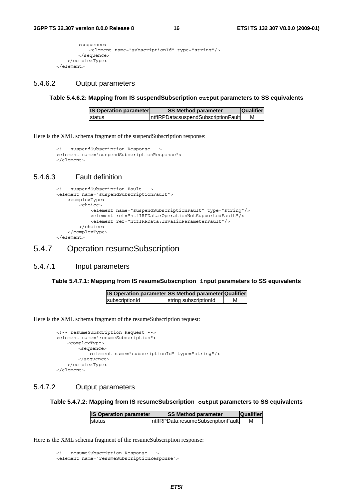```
<sequence> 
            -<br><element name="subscriptionId" type="string"/>
        </sequence> 
    </complexType> 
</element>
```
### 5.4.6.2 Output parameters

**Table 5.4.6.2: Mapping from IS suspendSubscription output parameters to SS equivalents** 

| <b>IS Operation parameter</b> | <b>SS Method parameter</b>           | <b>Qualifier</b> |
|-------------------------------|--------------------------------------|------------------|
| Istatus                       | IntflRPData:suspendSubscriptionFault | М                |

Here is the XML schema fragment of the suspendSubscription response:

```
<!-- suspendSubscription Response --> 
<element name="suspendSubscriptionResponse"> 
</element>
```
### 5.4.6.3 Fault definition

```
<!-- suspendSubscription Fault --> 
 <element name="suspendSubscriptionFault"> 
     <complexType> 
         <choice> 
             <element name="suspendSubscriptionFault" type="string"/> 
             <element ref="ntfIRPData:OperationNotSupportedFault"/> 
             <element ref="ntfIRPData:InvalidParameterFault"/> 
         </choice> 
     </complexType> 
 </element>
```
### 5.4.7 Operation resumeSubscription

#### 5.4.7.1 Input parameters

#### **Table 5.4.7.1: Mapping from IS resumeSubscription input parameters to SS equivalents**

| IS Operation parameter SS Method parameter Qualifier |                       |  |
|------------------------------------------------------|-----------------------|--|
| subscriptionId                                       | string subscriptionId |  |

Here is the XML schema fragment of the resumeSubscription request:

```
<!-- resumeSubscription Request --> 
<element name="resumeSubscription"> 
    <complexType> 
       <sequence> 
            .<br><element name="subscriptionId" type="string"/>
       </sequence> 
    </complexType> 
</element>
```
### 5.4.7.2 Output parameters

#### **Table 5.4.7.2: Mapping from IS resumeSubscription output parameters to SS equivalents**

| <b>IS Operation parameter</b> | <b>SS Method parameter</b>          | <b>Qualifier</b> |
|-------------------------------|-------------------------------------|------------------|
| Istatus                       | IntflRPData:resumeSubscriptionFault | М                |

Here is the XML schema fragment of the resumeSubscription response:

<sup>&</sup>lt;!-- resumeSubscription Response --> <element name="resumeSubscriptionResponse">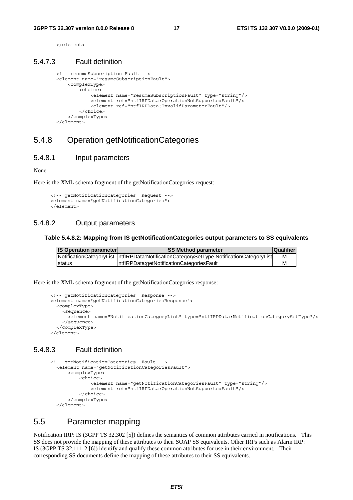</element>

#### 5.4.7.3 Fault definition

```
<!-- resumeSubscription Fault --> 
 <element name="resumeSubscriptionFault"> 
     <complexType> 
         <choice> 
             <element name="resumeSubscriptionFault" type="string"/> 
             <element ref="ntfIRPData:OperationNotSupportedFault"/> 
             <element ref="ntfIRPData:InvalidParameterFault"/> 
         </choice> 
     </complexType> 
 </element>
```
### 5.4.8 Operation getNotificationCategories

#### 5.4.8.1 Input parameters

None.

Here is the XML schema fragment of the getNotificationCategories request:

```
<!-- getNotificationCategories Request --> 
<element name="getNotificationCategories"> 
</element>
```
#### 5.4.8.2 Output parameters

#### **Table 5.4.8.2: Mapping from IS getNotificationCategories output parameters to SS equivalents**

| <b>IS Operation parameter</b> | <b>SS Method parameter</b>                                                                | <b>Qualifier</b> |
|-------------------------------|-------------------------------------------------------------------------------------------|------------------|
|                               | NotificationCategoryList  ntflRPData:NotificationCategorySetType NotificationCategoryList |                  |
| <b>Istatus</b>                | IntflRPData:getNotificationCategoriesFault                                                |                  |

Here is the XML schema fragment of the getNotificationCategories response:

```
<!-- getNotificationCategories Response --> 
<element name="getNotificationCategoriesResponse"> 
 <complexType> 
   <sequence> 
       <element name="NotificationCategoryList" type="ntfIRPData:NotificationCategorySetType"/> 
    </sequence> 
  </complexType> 
</element>
```
### 5.4.8.3 Fault definition

```
<!-- getNotificationCategories Fault --> 
   <element name="getNotificationCategoriesFault"> 
       <complexType> 
           <choice> 
                <element name="getNotificationCategoriesFault" type="string"/> 
                <element ref="ntfIRPData:OperationNotSupportedFault"/> 
           </choice> 
       </complexType> 
   </element>
```
### 5.5 Parameter mapping

Notification IRP: IS (3GPP TS 32.302 [5]) defines the semantics of common attributes carried in notifications. This SS does not provide the mapping of these attributes to their SOAP SS equivalents. Other IRPs such as Alarm IRP: IS (3GPP TS 32.111-2 [6]) identify and qualify these common attributes for use in their environment. Their corresponding SS documents define the mapping of these attributes to their SS equivalents.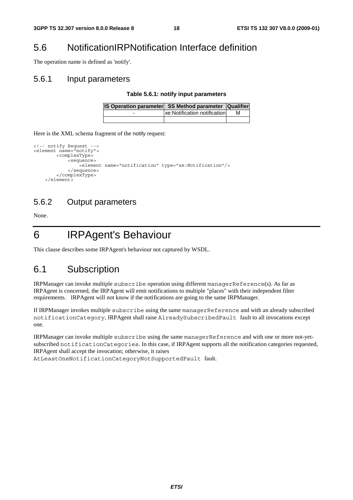## 5.6 NotificationIRPNotification Interface definition

The operation name is defined as 'notify'.

### 5.6.1 Input parameters

#### **Table 5.6.1: notify input parameters**

|   | IS Operation parameter SS Method parameter Qualifier |   |
|---|------------------------------------------------------|---|
| - | xe: Notification notification                        | м |
|   |                                                      |   |

Here is the XML schema fragment of the notify request:

```
<!-- notify Request --> 
<element name="notify"> 
          <complexType> 
              <sequence> 
                  .<br><element name="notification" type="xe:Notification"/>
              </sequence> 
          </complexType> 
     </element>
```
### 5.6.2 Output parameters

None.

6 IRPAgent's Behaviour

This clause describes some IRPAgent's behaviour not captured by WSDL.

## 6.1 Subscription

IRPManager can invoke multiple subscribe operation using different managerReference(s). As far as IRPAgent is concerned, the IRPAgent will emit notifications to multiple "places" with their independent filter requirements. IRPAgent will not know if the notifications are going to the same IRPManager.

If IRPManager invokes multiple subscribe using the same managerReference and with an already subscribed notificationCategory, IRPAgent shall raise AlreadySubscribedFault fault to all invocations except one.

IRPManager can invoke multiple subscribe using the same managerReference and with one or more not-yetsubscribed notificationCategories. In this case, if IRPAgent supports all the notification categories requested, IRPAgent shall accept the invocation; otherwise, it raises

AtLeastOneNotificationCategoryNotSupportedFault fault.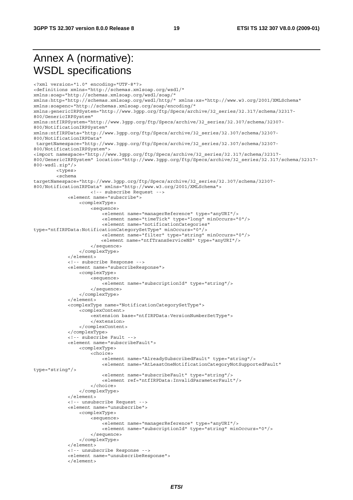## Annex A (normative): WSDL specifications

<?xml version="1.0" encoding="UTF-8"?> <definitions xmlns="http://schemas.xmlsoap.org/wsdl/" xmlns:soap="http://schemas.xmlsoap.org/wsdl/soap/" xmlns:http="http://schemas.xmlsoap.org/wsdl/http/" xmlns:xs="http://www.w3.org/2001/XMLSchema" xmlns:soapenc="http://schemas.xmlsoap.org/soap/encoding/" xmlns:genericIRPSystem="http://www.3gpp.org/ftp/Specs/archive/32\_series/32.317/schema/32317- 800/GenericIRPSystem" xmlns:ntfIRPSystem="http://www.3gpp.org/ftp/Specs/archive/32\_series/32.307/schema/32307- 800/NotificationIRPSystem" xmlns:ntfIRPData="http://www.3gpp.org/ftp/Specs/archive/32\_series/32.307/schema/32307- 800/NotificationIRPData" targetNamespace="http://www.3gpp.org/ftp/Specs/archive/32\_series/32.307/schema/32307- 800/NotificationIRPSystem"> <import namespace="http://www.3gpp.org/ftp/Specs/archive/32\_series/32.317/schema/32317- 800/GenericIRPSystem" location="http://www.3gpp.org/ftp/Specs/archive/32\_series/32.317/schema/32317- 800-wsdl.zip"/> <types>  $\geq$ c $\cap$ hema targetNamespace="http://www.3gpp.org/ftp/Specs/archive/32\_series/32.307/schema/32307- 800/NotificationIRPData" xmlns="http://www.w3.org/2001/XMLSchema"> <!-- subscribe Request --> <element name="subscribe"> <complexType> <sequence> -<br><element name="managerReference" type="anyURI"/> <element name="timeTick" type="long" minOccurs="0"/> <element name="notificationCategories" type="ntfIRPData:NotificationCategorySetType" minOccurs="0"/> <element name="filter" type="string" minOccurs="0"/> <element name="ntfTransServiceNS" type="anyURI"/> </sequence> </complexType> </element> <!-- subscribe Response --> <element name="subscribeResponse"> <complexType> <sequence> -<br><element name="subscriptionId" type="string"/> </sequence> </complexType> </element> <complexType name="NotificationCategorySetType"> <complexContent> <extension base="ntfIRPData:VersionNumberSetType"> </extension> </complexContent> </complexType> <!-- subscribe Fault --> <element name="subscribeFault"> <complexType> <choice> <element name="AlreadySubscribedFault" type="string"/> <element name="AtLeastOneNotificationCategoryNotSupportedFault" type="string"/> <element name="subscribeFault" type="string"/> <element ref="ntfIRPData:InvalidParameterFault"/> </choice> </complexType> </element> <!-- unsubscribe Request --> <element name="unsubscribe"> <complexType> <sequence> .<br><element name="managerReference" type="anyURI"/> <element name="subscriptionId" type="string" minOccurs="0"/> </sequence> </complexType> </element> <!-- unsubscribe Response --> <element name="unsubscribeResponse"> </element>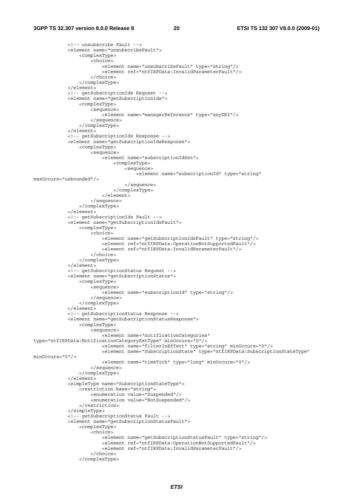```
 <!-- unsubscribe Fault --> 
              <element name="unsubscribeFault"> 
                  <complexType> 
                      <choice> 
                           <element name="unsubscribeFault" type="string"/> 
                           <element ref="ntfIRPData:InvalidParameterFault"/> 
                       </choice> 
                  </complexType> 
              </element> 
              <!-- getSubscriptionIds Request --> 
              <element name="getSubscriptionIds"> 
                  <complexType> 
                      <sequence> 
                          -<br><element name="managerReference" type="anyURI"/>
                      </sequence> 
                  </complexType> 
              </element> 
              <!-- getSubscriptionIds Response --> 
              <element name="getSubscriptionIdsResponse"> 
                  <complexType> 
                      <sequence> 
                           <element name="subscriptionIdSet"> 
                               <complexType> 
                                   <sequence> 
                                        <element name="subscriptionId" type="string" 
maxOccurs="unbounded"/> 
                                   </sequence> 
                               </complexType> 
                           </element> 
                      </sequence> 
                  </complexType> 
              </element> 
              <!-- getSubscriptionIds Fault --> 
              <element name="getSubscriptionIdsFault"> 
                  <complexType> 
                      <choice> 
                           <element name="getSubscriptionIdsFault" type="string"/> 
                           <element ref="ntfIRPData:OperationNotSupportedFault"/> 
                           <element ref="ntfIRPData:InvalidParameterFault"/> 
                      </choice> 
                  </complexType> 
              </element> 
              <!-- getSubscriptionStatus Request --> 
              <element name="getSubscriptionStatus"> 
                  <complexType> 
                      <sequence> 
                           <element name="subscriptionId" type="string"/> 
                      </sequence> 
                  </complexType> 
              </element> 
              <!-- getSubscriptionStatus Response --> 
              <element name="getSubscriptionStatusResponse"> 
                  <complexType> 
                      <sequence> 
                           <element name="notificationCategories" 
type="ntfIRPData:NotificationCategorySetType" minOccurs="0"/> 
                           <element name="filterInEffect" type="string" minOccurs="0"/> 
                           <element name="SubscriptionState" type="ntfIRPData:SubscriptionStateType" 
minOccurs="0"/> 
                           <element name="timeTick" type="long" minOccurs="0"/> 
                      </sequence> 
                  </complexType> 
              </element> 
              <simpleType name="SubscriptionStateType"> 
                  <restriction base="string"> 
                      <enumeration value="Suspended"/> 
                      <enumeration value="NotSuspended"/> 
                  </restriction> 
              </simpleType> 
              <!-- getSubscriptionStatus Fault --> 
              <element name="getSubscriptionStatusFault"> 
                  <complexType> 
                      <choice> 
                           <element name="getSubscriptionStatusFault" type="string"/> 
                           <element ref="ntfIRPData:OperationNotSupportedFault"/> 
                           <element ref="ntfIRPData:InvalidParameterFault"/> 
                       </choice> 
                  </complexType>
```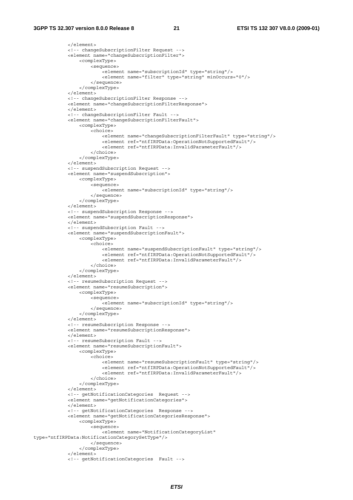```
 </element> 
              <!-- changeSubscriptionFilter Request --> 
             <element name="changeSubscriptionFilter"> 
                  <complexType> 
                      <sequence> 
                         -<br><element name="subscriptionId" type="string"/>
                           <element name="filter" type="string" minOccurs="0"/> 
                      </sequence> 
                  </complexType> 
              </element> 
             <!-- changeSubscriptionFilter Response --> 
             <element name="changeSubscriptionFilterResponse"> 
            \epsilon/element>
              <!-- changeSubscriptionFilter Fault --> 
             <element name="changeSubscriptionFilterFault"> 
                  <complexType> 
                      <choice> 
                           <element name="changeSubscriptionFilterFault" type="string"/> 
                           <element ref="ntfIRPData:OperationNotSupportedFault"/> 
                           <element ref="ntfIRPData:InvalidParameterFault"/> 
                      </choice> 
                  </complexType> 
             </element> 
              <!-- suspendSubscription Request --> 
             <element name="suspendSubscription"> 
                  <complexType> 
                      <sequence> 
                           <element name="subscriptionId" type="string"/> 
                      </sequence> 
                  </complexType> 
             </element> 
              <!-- suspendSubscription Response --> 
             <element name="suspendSubscriptionResponse"> 
             </element> 
              <!-- suspendSubscription Fault --> 
             <element name="suspendSubscriptionFault"> 
                  <complexType> 
                      <choice> 
                           <element name="suspendSubscriptionFault" type="string"/> 
                           <element ref="ntfIRPData:OperationNotSupportedFault"/> 
                           <element ref="ntfIRPData:InvalidParameterFault"/> 
                      </choice> 
                  </complexType> 
             </element> 
              <!-- resumeSubscription Request --> 
             <element name="resumeSubscription"> 
                  <complexType> 
                      <sequence> 
                           <element name="subscriptionId" type="string"/> 
                      </sequence> 
                  </complexType> 
             </element> 
              <!-- resumeSubscription Response --> 
             <element name="resumeSubscriptionResponse"> 
             </element> 
             <!-- resumeSubscription Fault --> 
             <element name="resumeSubscriptionFault"> 
                  <complexType> 
                      <choice> 
                           <element name="resumeSubscriptionFault" type="string"/> 
                           <element ref="ntfIRPData:OperationNotSupportedFault"/> 
                           <element ref="ntfIRPData:InvalidParameterFault"/> 
                      </choice> 
                  </complexType> 
             </element> 
             <!-- getNotificationCategories Request --> 
              <element name="getNotificationCategories"> 
             </element> 
             <!-- getNotificationCategories Response --> 
              <element name="getNotificationCategoriesResponse"> 
                  <complexType> 
                      <sequence> 
                          <element name="NotificationCategoryList" 
type="ntfIRPData:NotificationCategorySetType"/> 
                      </sequence> 
                  </complexType> 
              </element> 
              <!-- getNotificationCategories Fault -->
```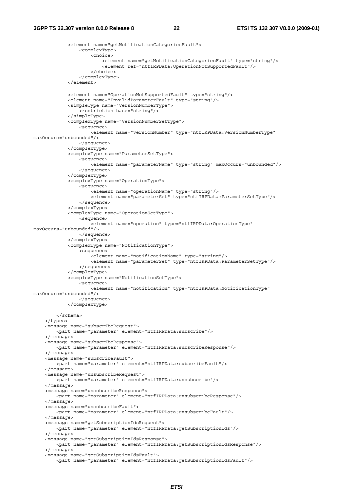#### **3GPP TS 32.307 version 8.0.0 Release 8 22 ETSI TS 132 307 V8.0.0 (2009-01)**

```
 <element name="getNotificationCategoriesFault"> 
                  <complexType> 
                      <choice> 
                          <element name="getNotificationCategoriesFault" type="string"/> 
                           <element ref="ntfIRPData:OperationNotSupportedFault"/> 
                      </choice> 
                  </complexType> 
              </element> 
             <element name="OperationNotSupportedFault" type="string"/> 
              <element name="InvalidParameterFault" type="string"/> 
              <simpleType name="VersionNumberType"> 
                  <restriction base="string"/> 
              </simpleType> 
              <complexType name="VersionNumberSetType"> 
                  <sequence> 
                     -<br>-<element name="versionNumber" type="ntfIRPData:VersionNumberType"
maxOccurs="unbounded"/> 
                  </sequence> 
              </complexType> 
              <complexType name="ParameterSetType"> 
                  <sequence> 
                      <element name="parameterName" type="string" maxOccurs="unbounded"/> 
                  </sequence> 
              </complexType> 
              <complexType name="OperationType"> 
                  <sequence> 
                     -<br><element name="operationName" type="string"/>
                      <element name="parameterSet" type="ntfIRPData:ParameterSetType"/> 
                  </sequence> 
              </complexType> 
              <complexType name="OperationSetType"> 
                  <sequence> 
                      <element name="operation" type="ntfIRPData:OperationType" 
maxOccurs="unbounded"/> 
                  </sequence> 
              </complexType> 
              <complexType name="NotificationType"> 
                  <sequence> 
                      <element name="notificationName" type="string"/> 
                      <element name="parameterSet" type="ntfIRPData:ParameterSetType"/> 
                  </sequence> 
              </complexType> 
              <complexType name="NotificationSetType"> 
                  <sequence> 
                      <element name="notification" type="ntfIRPData:NotificationType" 
maxOccurs="unbounded"/> 
                  </sequence> 
              </complexType> 
         </schema> 
     </types> 
     <message name="subscribeRequest"> 
         <part name="parameter" element="ntfIRPData:subscribe"/> 
     </message> 
     <message name="subscribeResponse"> 
         <part name="parameter" element="ntfIRPData:subscribeResponse"/> 
     </message> 
     <message name="subscribeFault"> 
         <part name="parameter" element="ntfIRPData:subscribeFault"/> 
     </message> 
     <message name="unsubscribeRequest"> 
         <part name="parameter" element="ntfIRPData:unsubscribe"/> 
     </message> 
     <message name="unsubscribeResponse"> 
         <part name="parameter" element="ntfIRPData:unsubscribeResponse"/> 
     </message> 
     <message name="unsubscribeFault"> 
         <part name="parameter" element="ntfIRPData:unsubscribeFault"/> 
     </message> 
     <message name="getSubscriptionIdsRequest"> 
         <part name="parameter" element="ntfIRPData:getSubscriptionIds"/> 
     </message> 
     <message name="getSubscriptionIdsResponse"> 
         <part name="parameter" element="ntfIRPData:getSubscriptionIdsResponse"/> 
     </message> 
     <message name="getSubscriptionIdsFault"> 
         <part name="parameter" element="ntfIRPData:getSubscriptionIdsFault"/>
```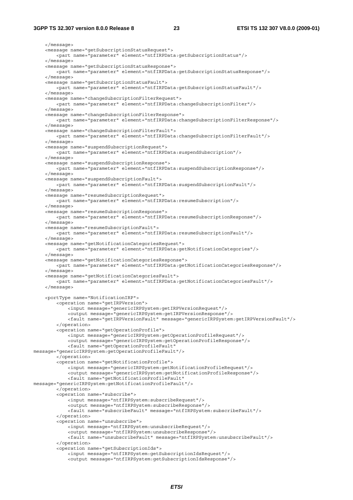#### **3GPP TS 32.307 version 8.0.0 Release 8 23 ETSI TS 132 307 V8.0.0 (2009-01)**

 </message> <message name="getSubscriptionStatusRequest"> <part name="parameter" element="ntfIRPData:getSubscriptionStatus"/> </message> <message name="getSubscriptionStatusResponse"> <part name="parameter" element="ntfIRPData:getSubscriptionStatusResponse"/> </message> <message name="getSubscriptionStatusFault"> <part name="parameter" element="ntfIRPData:getSubscriptionStatusFault"/> </message> <message name="changeSubscriptionFilterRequest"> <part name="parameter" element="ntfIRPData:changeSubscriptionFilter"/> </message> <message name="changeSubscriptionFilterResponse"> <part name="parameter" element="ntfIRPData:changeSubscriptionFilterResponse"/> </message> <message name="changeSubscriptionFilterFault"> <part name="parameter" element="ntfIRPData:changeSubscriptionFilterFault"/> </message> <message name="suspendSubscriptionRequest"> <part name="parameter" element="ntfIRPData:suspendSubscription"/> </message> <message name="suspendSubscriptionResponse"> <part name="parameter" element="ntfIRPData:suspendSubscriptionResponse"/> </message> <message name="suspendSubscriptionFault"> <part name="parameter" element="ntfIRPData:suspendSubscriptionFault"/> </message> <message name="resumeSubscriptionRequest"> <part name="parameter" element="ntfIRPData:resumeSubscription"/> </message> <message name="resumeSubscriptionResponse"> <part name="parameter" element="ntfIRPData:resumeSubscriptionResponse"/> </message> <message name="resumeSubscriptionFault"> <part name="parameter" element="ntfIRPData:resumeSubscriptionFault"/> </message> <message name="getNotificationCategoriesRequest"> <part name="parameter" element="ntfIRPData:getNotificationCategories"/> </message> <message name="getNotificationCategoriesResponse"> <part name="parameter" element="ntfIRPData:getNotificationCategoriesResponse"/> </message> <message name="getNotificationCategoriesFault"> <part name="parameter" element="ntfIRPData:getNotificationCategoriesFault"/> </message> <portType name="NotificationIRP"> <operation name="getIRPVersion"> <input message="genericIRPSystem:getIRPVersionRequest"/> <output message="genericIRPSystem:getIRPVersionResponse"/> <fault name="getIRPVersionFault" message="genericIRPSystem:getIRPVersionFault"/> </operation> <operation name="getOperationProfile"> <input message="genericIRPSystem:getOperationProfileRequest"/> <output message="genericIRPSystem:getOperationProfileResponse"/> <fault name="getOperationProfileFault" message="genericIRPSystem:getOperationProfileFault"/> </operation> <operation name="getNotificationProfile"> <input message="genericIRPSystem:getNotificationProfileRequest"/> <output message="genericIRPSystem:getNotificationProfileResponse"/> <fault name="getNotificationProfileFault" message="genericIRPSystem:getNotificationProfileFault"/> </operation> <operation name="subscribe"> <input message="ntfIRPSystem:subscribeRequest"/> <output message="ntfIRPSystem:subscribeResponse"/> <fault name="subscribeFault" message="ntfIRPSystem:subscribeFault"/> </operation> <operation name="unsubscribe"> <input message="ntfIRPSystem:unsubscribeRequest"/> <output message="ntfIRPSystem:unsubscribeResponse"/> <fault name="unsubscribeFault" message="ntfIRPSystem:unsubscribeFault"/> </operation> <operation name="getSubscriptionIds"> <input message="ntfIRPSystem:getSubscriptionIdsRequest"/> <output message="ntfIRPSystem:getSubscriptionIdsResponse"/>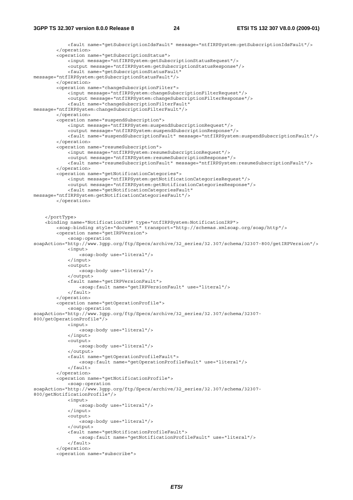```
 <fault name="getSubscriptionIdsFault" message="ntfIRPSystem:getSubscriptionIdsFault"/> 
         </operation> 
         <operation name="getSubscriptionStatus"> 
              <input message="ntfIRPSystem:getSubscriptionStatusRequest"/> 
              <output message="ntfIRPSystem:getSubscriptionStatusResponse"/> 
              <fault name="getSubscriptionStatusFault" 
message="ntfIRPSystem:getSubscriptionStatusFault"/> 
         </operation> 
        <operation name="changeSubscriptionFilter">
              <input message="ntfIRPSystem:changeSubscriptionFilterRequest"/> 
              <output message="ntfIRPSystem:changeSubscriptionFilterResponse"/> 
              <fault name="changeSubscriptionFilterFault" 
message="ntfIRPSystem:changeSubscriptionFilterFault"/> 
         </operation> 
         <operation name="suspendSubscription"> 
             <input message="ntfIRPSystem:suspendSubscriptionRequest"/> 
             <output message="ntfIRPSystem:suspendSubscriptionResponse"/>
             <fault name="suspendSubscriptionFault" message="ntfIRPSystem:suspendSubscriptionFault"/> 
         </operation> 
         <operation name="resumeSubscription"> 
             <input message="ntfIRPSystem:resumeSubscriptionRequest"/> 
             <output message="ntfIRPSystem:resumeSubscriptionResponse"/> 
              <fault name="resumeSubscriptionFault" message="ntfIRPSystem:resumeSubscriptionFault"/> 
         </operation> 
         <operation name="getNotificationCategories"> 
             <input message="ntfIRPSystem:getNotificationCategoriesRequest"/> 
             <output message="ntfIRPSystem:getNotificationCategoriesResponse"/>
              <fault name="getNotificationCategoriesFault" 
message="ntfIRPSystem:getNotificationCategoriesFault"/> 
         </operation> 
     </portType> 
     <binding name="NotificationIRP" type="ntfIRPSystem:NotificationIRP"> 
         <soap:binding style="document" transport="http://schemas.xmlsoap.org/soap/http"/> 
         <operation name="getIRPVersion"> 
             <soap:operation 
soapAction="http://www.3gpp.org/ftp/Specs/archive/32_series/32.307/schema/32307-800/getIRPVersion"/> 
             <input> 
                  <soap:body use="literal"/> 
             </input> 
             <output> 
                  <soap:body use="literal"/> 
              </output> 
             <fault name="getIRPVersionFault"> 
                  <soap:fault name="getIRPVersionFault" use="literal"/> 
            \epsilon/fault>
         </operation> 
         <operation name="getOperationProfile"> 
             <soap:operation 
soapAction="http://www.3gpp.org/ftp/Specs/archive/32_series/32.307/schema/32307-
800/getOperationProfile"/> 
             <input> 
                  <soap:body use="literal"/> 
              </input> 
             <output> 
                  <soap:body use="literal"/> 
              </output> 
             <fault name="getOperationProfileFault"> 
                  <soap:fault name="getOperationProfileFault" use="literal"/> 
             </fault> 
          </operation> 
         <operation name="getNotificationProfile"> 
              <soap:operation 
soapAction="http://www.3gpp.org/ftp/Specs/archive/32_series/32.307/schema/32307-
800/getNotificationProfile"/> 
             <input> 
                .<br><soap:body use="literal"/>
             </input> 
              <output> 
                  <soap:body use="literal"/> 
              </output> 
             <fault name="getNotificationProfileFault"> 
                  <soap:fault name="getNotificationProfileFault" use="literal"/> 
              </fault> 
         </operation> 
         <operation name="subscribe">
```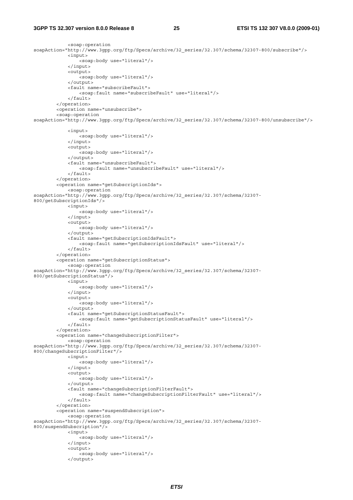#### **3GPP TS 32.307 version 8.0.0 Release 8 25 ETSI TS 132 307 V8.0.0 (2009-01)**

</output>

```
 <soap:operation 
soapAction="http://www.3gpp.org/ftp/Specs/archive/32_series/32.307/schema/32307-800/subscribe"/> 
              <input> 
                  <soap:body use="literal"/> 
              </input> 
              <output> 
                 -<br><soap:body use="literal"/>
             \epsilon/\alphautput>
              <fault name="subscribeFault"> 
                  <soap:fault name="subscribeFault" use="literal"/> 
              </fault> 
         </operation> 
          <operation name="unsubscribe"> 
          <soap:operation 
soapAction="http://www.3gpp.org/ftp/Specs/archive/32_series/32.307/schema/32307-800/unsubscribe"/> 
              <input> 
                  <soap:body use="literal"/> 
              </input> 
              <output> 
                 .<br><soap:body use="literal"/>
              </output> 
              <fault name="unsubscribeFault"> 
                  <soap:fault name="unsubscribeFault" use="literal"/> 
             \epsilon/faults
          </operation> 
          <operation name="getSubscriptionIds"> 
              <soap:operation 
soapAction="http://www.3gpp.org/ftp/Specs/archive/32_series/32.307/schema/32307-
800/getSubscriptionIds"/> 
              <input> 
                  <soap:body use="literal"/> 
              </input> 
              <output> 
                  <soap:body use="literal"/> 
              </output> 
              <fault name="getSubscriptionIdsFault"> 
                  <soap:fault name="getSubscriptionIdsFault" use="literal"/> 
              </fault> 
          </operation> 
         <operation name="getSubscriptionStatus"> 
              <soap:operation 
soapAction="http://www.3gpp.org/ftp/Specs/archive/32_series/32.307/schema/32307-
800/getSubscriptionStatus"/> 
              <input> 
                  <soap:body use="literal"/> 
              </input> 
              <output> 
                  <soap:body use="literal"/> 
              </output> 
              <fault name="getSubscriptionStatusFault"> 
                  <soap:fault name="getSubscriptionStatusFault" use="literal"/> 
              </fault> 
          </operation> 
         <operation name="changeSubscriptionFilter"> 
              <soap:operation 
soapAction="http://www.3gpp.org/ftp/Specs/archive/32_series/32.307/schema/32307-
800/changeSubscriptionFilter"/> 
              <input> 
                  <soap:body use="literal"/> 
              </input> 
              <output> 
                  <soap:body use="literal"/> 
              </output> 
              <fault name="changeSubscriptionFilterFault"> 
                  <soap:fault name="changeSubscriptionFilterFault" use="literal"/> 
              </fault> 
         </operation> 
         <operation name="suspendSubscription"> 
              <soap:operation 
soapAction="http://www.3gpp.org/ftp/Specs/archive/32_series/32.307/schema/32307-
800/suspendSubscription"/> 
              <input> 
                  <soap:body use="literal"/> 
              </input> 
              <output> 
                 -<br><soap:body use="literal"/>
```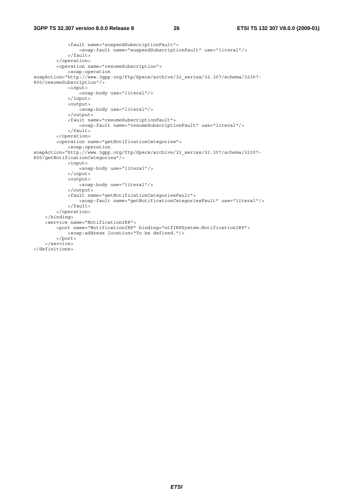#### **3GPP TS 32.307 version 8.0.0 Release 8 26 ETSI TS 132 307 V8.0.0 (2009-01)**

```
 <fault name="suspendSubscriptionFault"> 
                  <soap:fault name="suspendSubscriptionFault" use="literal"/> 
              </fault> 
         </operation> 
         <operation name="resumeSubscription"> 
             <soap:operation 
soapAction="http://www.3gpp.org/ftp/Specs/archive/32_series/32.307/schema/32307-
800/resumeSubscription"/> 
             <input> 
                  <soap:body use="literal"/> 
              </input> 
              <output> 
                  <soap:body use="literal"/> 
              </output> 
              <fault name="resumeSubscriptionFault"> 
                 <soap:fault name="resumeSubscriptionFault" use="literal"/> 
              </fault> 
         </operation> 
         <operation name="getNotificationCategories"> 
             <soap:operation 
soapAction="http://www.3gpp.org/ftp/Specs/archive/32_series/32.307/schema/32307-
800/getNotificationCategories"/> 
             <input> 
                  <soap:body use="literal"/> 
              </input> 
              <output> 
                 <soap:body use="literal"/> 
              </output> 
              <fault name="getNotificationCategoriesFault"> 
                  <soap:fault name="getNotificationCategoriesFault" use="literal"/> 
            \epsilon/fault>
         </operation> 
     </binding> 
     <service name="NotificationIRP"> 
         <port name="NotificationIRP" binding="ntfIRPSystem:NotificationIRP"> 
             <soap:address location="To be defined."/> 
         </port> 
     </service> 
</definitions>
```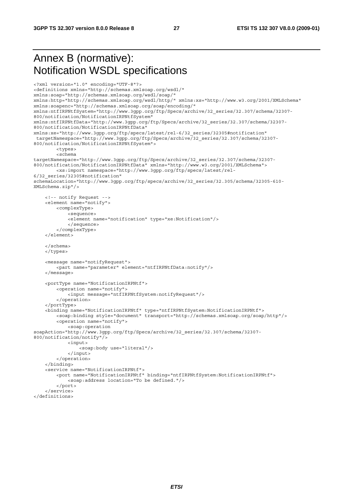## Annex B (normative): Notification WSDL specifications

```
<?xml version="1.0" encoding="UTF-8"?> 
<definitions xmlns="http://schemas.xmlsoap.org/wsdl/" 
xmlns:soap="http://schemas.xmlsoap.org/wsdl/soap/" 
xmlns:http="http://schemas.xmlsoap.org/wsdl/http/" xmlns:xs="http://www.w3.org/2001/XMLSchema" 
xmlns:soapenc="http://schemas.xmlsoap.org/soap/encoding/" 
xmlns:ntfIRPNtfSystem="http://www.3gpp.org/ftp/Specs/archive/32_series/32.307/schema/32307-
800/notification/NotificationIRPNtfSystem" 
xmlns:ntfIRPNtfData="http://www.3gpp.org/ftp/Specs/archive/32_series/32.307/schema/32307-
800/notification/NotificationIRPNtfData" 
xmlns:xe="http://www.3gpp.org/ftp/specs/latest/rel-6/32_series/32305#notification" 
  targetNamespace="http://www.3gpp.org/ftp/Specs/archive/32_series/32.307/schema/32307-
800/notification/NotificationIRPNtfSystem"> 
         <types> 
         <schema 
targetNamespace="http://www.3gpp.org/ftp/Specs/archive/32_series/32.307/schema/32307-
800/notification/NotificationIRPNtfData" xmlns="http://www.w3.org/2001/XMLSchema"> 
         <xs:import namespace="http://www.3gpp.org/ftp/specs/latest/rel-
6/32_series/32305#notification" 
schemaLocation="http://www.3gpp.org/ftp/specs/archive/32_series/32.305/schema/32305-610-
XMLSchema.zip"/> 
     <!-- notify Request --> 
     <element name="notify"> 
         <complexType> 
             <sequence> 
             <element name="notification" type="xe:Notification"/> 
             </sequence> 
         </complexType> 
     </element> 
     </schema> 
     </types> 
     <message name="notifyRequest"> 
         <part name="parameter" element="ntfIRPNtfData:notify"/> 
     </message> 
     <portType name="NotificationIRPNtf"> 
         <operation name="notify"> 
             <input message="ntfIRPNtfSystem:notifyRequest"/> 
         </operation> 
     </portType> 
     <binding name="NotificationIRPNtf" type="ntfIRPNtfSystem:NotificationIRPNtf"> 
         <soap:binding style="document" transport="http://schemas.xmlsoap.org/soap/http"/> 
         <operation name="notify"> 
             <soap:operation 
soapAction="http://www.3gpp.org/ftp/Specs/archive/32_series/32.307/schema/32307-
800/notification/notify"/> 
             <input> 
                 <soap:body use="literal"/> 
             </input> 
         </operation> 
     </binding> 
     <service name="NotificationIRPNtf"> 
         <port name="NotificationIRPNtf" binding="ntfIRPNtfSystem:NotificationIRPNtf"> 
             <soap:address location="To be defined."/> 
         </port> 
     </service> 
</definitions>
```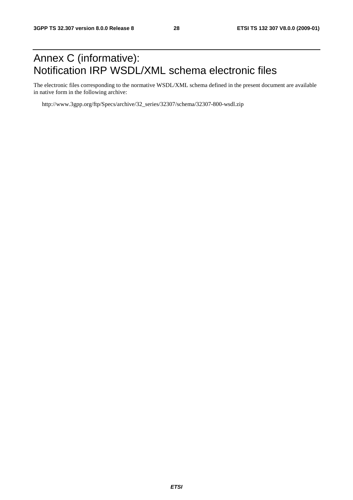## Annex C (informative): Notification IRP WSDL/XML schema electronic files

The electronic files corresponding to the normative WSDL/XML schema defined in the present document are available in native form in the following archive:

http://www.3gpp.org/ftp/Specs/archive/32\_series/32307/schema/32307-800-wsdl.zip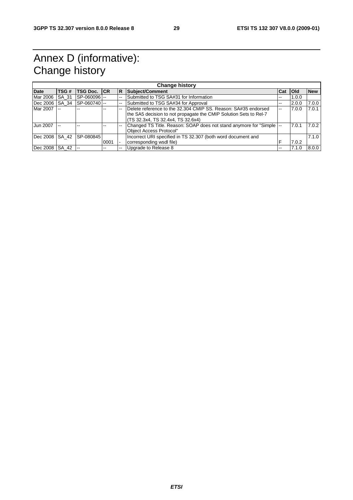## Annex D (informative): Change history

| <b>Change history</b> |       |                    |      |     |                                                                       |                          |            |            |
|-----------------------|-------|--------------------|------|-----|-----------------------------------------------------------------------|--------------------------|------------|------------|
| <b>Date</b>           | TSG#  | <b>TSG Doc. CR</b> |      | IR. | Subject/Comment                                                       | <b>Cat</b>               | <b>Old</b> | <b>New</b> |
| Mar 2006              | SA 31 | SP-060096 --       |      |     | Submitted to TSG SA#31 for Information                                | $\overline{\phantom{a}}$ | 1.0.0      |            |
| Dec 2006 SA 34        |       | SP-060740          |      |     | Submitted to TSG SA#34 for Approval                                   | --                       | 2.0.0      | 7.0.0      |
| Mar 2007              |       |                    |      |     | Delete reference to the 32.304 CMIP SS, Reason: SA#35 endorsed        | $-$                      | 7.0.0      | 7.0.1      |
|                       |       |                    |      |     | the SA5 decision to not propagate the CMIP Solution Sets to Rel-7     |                          |            |            |
|                       |       |                    |      |     | (TS 32.3x4, TS 32.4x4, TS 32.6x4)                                     |                          |            |            |
| Jun 2007              |       |                    |      |     | Changed TS Title. Reason: SOAP does not stand anymore for "Simple  -- |                          | 7.0.1      | 7.0.2      |
|                       |       |                    |      |     | Object Access Protocol"                                               |                          |            |            |
| Dec 2008 SA 42        |       | SP-080845          |      |     | Incorrect URI specified in TS 32.307 (both word document and          |                          |            | 7.1.0      |
|                       |       |                    | 0001 |     | corresponding wsdl file)                                              |                          | 7.0.2      |            |
| Dec 2008 SA 42        |       | $-$                |      |     | Upgrade to Release 8                                                  | --                       | 7.1.0      | 8.0.0      |